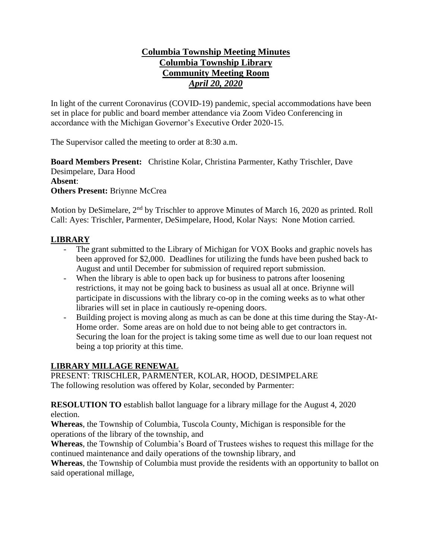# **Columbia Township Meeting Minutes Columbia Township Library Community Meeting Room** *April 20, 2020*

In light of the current Coronavirus (COVID-19) pandemic, special accommodations have been set in place for public and board member attendance via Zoom Video Conferencing in accordance with the Michigan Governor's Executive Order 2020-15.

The Supervisor called the meeting to order at 8:30 a.m.

**Board Members Present:** Christine Kolar, Christina Parmenter, Kathy Trischler, Dave Desimpelare, Dara Hood **Absent**: **Others Present:** Briynne McCrea

Motion by DeSimelare,  $2<sup>nd</sup>$  by Trischler to approve Minutes of March 16, 2020 as printed. Roll Call: Ayes: Trischler, Parmenter, DeSimpelare, Hood, Kolar Nays: None Motion carried.

# **LIBRARY**

- The grant submitted to the Library of Michigan for VOX Books and graphic novels has been approved for \$2,000. Deadlines for utilizing the funds have been pushed back to August and until December for submission of required report submission.
- When the library is able to open back up for business to patrons after loosening restrictions, it may not be going back to business as usual all at once. Briynne will participate in discussions with the library co-op in the coming weeks as to what other libraries will set in place in cautiously re-opening doors.
- Building project is moving along as much as can be done at this time during the Stay-At-Home order. Some areas are on hold due to not being able to get contractors in. Securing the loan for the project is taking some time as well due to our loan request not being a top priority at this time.

# **LIBRARY MILLAGE RENEWAL**

PRESENT: TRISCHLER, PARMENTER, KOLAR, HOOD, DESIMPELARE The following resolution was offered by Kolar, seconded by Parmenter:

**RESOLUTION TO** establish ballot language for a library millage for the August 4, 2020 election.

**Whereas**, the Township of Columbia, Tuscola County, Michigan is responsible for the operations of the library of the township, and

**Whereas**, the Township of Columbia's Board of Trustees wishes to request this millage for the continued maintenance and daily operations of the township library, and

**Whereas**, the Township of Columbia must provide the residents with an opportunity to ballot on said operational millage,